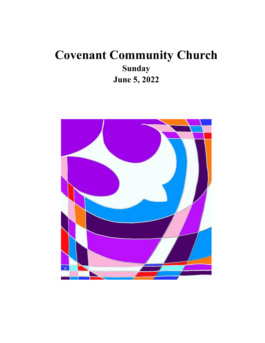# **Covenant Community Church Sunday June 5, 2022**

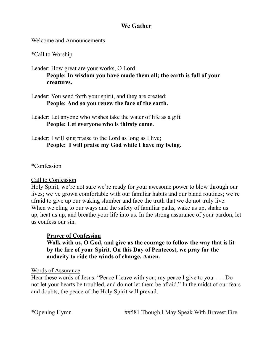## **We Gather**

Welcome and Announcements

\*Call to Worship

Leader: How great are your works, O Lord! **People: In wisdom you have made them all; the earth is full of your creatures.**

Leader: You send forth your spirit, and they are created; **People: And so you renew the face of the earth.**

Leader: Let anyone who wishes take the water of life as a gift **People: Let everyone who is thirsty come.**

## Leader: I will sing praise to the Lord as long as I live; **People: I will praise my God while I have my being.**

\*Confession

#### Call to Confession

Holy Spirit, we're not sure we're ready for your awesome power to blow through our lives; we've grown comfortable with our familiar habits and our bland routines; we're afraid to give up our waking slumber and face the truth that we do not truly live. When we cling to our ways and the safety of familiar paths, wake us up, shake us up, heat us up, and breathe your life into us. In the strong assurance of your pardon, let us confess our sin.

#### **Prayer of Confession**

**Walk with us, O God, and give us the courage to follow the way that is lit by the fire of your Spirit. On this Day of Pentecost, we pray for the audacity to ride the winds of change. Amen.**

#### Words of Assurance

Hear these words of Jesus: "Peace I leave with you; my peace I give to you. . . . Do not let your hearts be troubled, and do not let them be afraid." In the midst of our fears and doubts, the peace of the Holy Spirit will prevail.

\*Opening Hymn ##581 Though I May Speak With Bravest Fire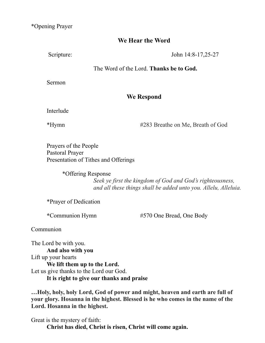\*Opening Prayer

## **We Hear the Word**

Scripture: John 14:8-17,25-27

#### The Word of the Lord. **Thanks be to God.**

Sermon

## **We Respond**

Interlude

\*Hymn #283 Breathe on Me, Breath of God

Prayers of the People Pastoral Prayer Presentation of Tithes and Offerings

\*Offering Response

*Seek ye first the kingdom of God and God's righteousness, and all these things shall be added unto you. Allelu, Alleluia.*

\*Prayer of Dedication

**\***Communion Hymn #570 One Bread, One Body

Communion

The Lord be with you. **And also with you** Lift up your hearts **We lift them up to the Lord.** Let us give thanks to the Lord our God. **It is right to give our thanks and praise**

**…Holy, holy, holy Lord, God of power and might, heaven and earth are full of your glory. Hosanna in the highest. Blessed is he who comes in the name of the Lord. Hosanna in the highest.**

Great is the mystery of faith: **Christ has died, Christ is risen, Christ will come again.**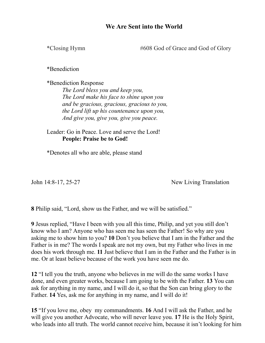#### **We Are Sent into the World**

\*Closing Hymn #608 God of Grace and God of Glory

\*Benediction

\*Benediction Response *The Lord bless you and keep you, The Lord make his face to shine upon you and be gracious, gracious, gracious to you, the Lord lift up his countenance upon you, And give you, give you, give you peace.*

Leader: Go in Peace. Love and serve the Lord! **People: Praise be to God!**

\*Denotes all who are able, please stand

John 14:8-17, 25-27 New Living Translation

**8** Philip said, "Lord, show us the Father, and we will be satisfied."

**9** Jesus replied, "Have I been with you all this time, Philip, and yet you still don't know who I am? Anyone who has seen me has seen the Father! So why are you asking me to show him to you? **10** Don't you believe that I am in the Father and the Father is in me? The words I speak are not my own, but my Father who lives in me does his work through me. **11** Just believe that I am in the Father and the Father is in me. Or at least believe because of the work you have seen me do.

**12** "I tell you the truth, anyone who believes in me will do the same works I have done, and even greater works, because I am going to be with the Father. **13** You can ask for anything in my name, and I will do it, so that the Son can bring glory to the Father. **14** Yes, ask me for anything in my name, and I will do it!

**15** "If you love me, obey my commandments. **16** And I will ask the Father, and he will give you another Advocate, who will never leave you. **17** He is the Holy Spirit, who leads into all truth. The world cannot receive him, because it isn't looking for him